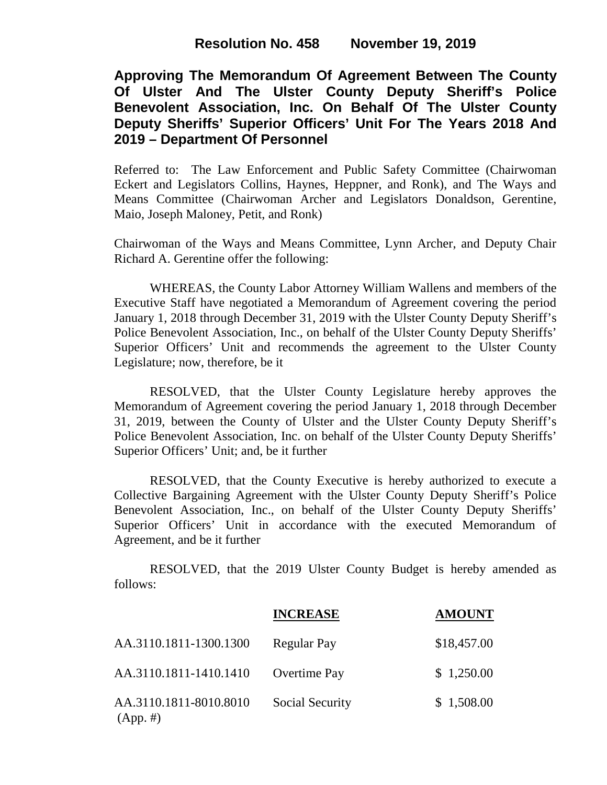# **Resolution No. 458 November 19, 2019**

**Approving The Memorandum Of Agreement Between The County Of Ulster And The Ulster County Deputy Sheriff's Police Benevolent Association, Inc. On Behalf Of The Ulster County Deputy Sheriffs' Superior Officers' Unit For The Years 2018 And 2019 – Department Of Personnel**

Referred to: The Law Enforcement and Public Safety Committee (Chairwoman Eckert and Legislators Collins, Haynes, Heppner, and Ronk), and The Ways and Means Committee (Chairwoman Archer and Legislators Donaldson, Gerentine, Maio, Joseph Maloney, Petit, and Ronk)

Chairwoman of the Ways and Means Committee, Lynn Archer, and Deputy Chair Richard A. Gerentine offer the following:

WHEREAS, the County Labor Attorney William Wallens and members of the Executive Staff have negotiated a Memorandum of Agreement covering the period January 1, 2018 through December 31, 2019 with the Ulster County Deputy Sheriff's Police Benevolent Association, Inc., on behalf of the Ulster County Deputy Sheriffs' Superior Officers' Unit and recommends the agreement to the Ulster County Legislature; now, therefore, be it

RESOLVED, that the Ulster County Legislature hereby approves the Memorandum of Agreement covering the period January 1, 2018 through December 31, 2019, between the County of Ulster and the Ulster County Deputy Sheriff's Police Benevolent Association, Inc. on behalf of the Ulster County Deputy Sheriffs' Superior Officers' Unit; and, be it further

RESOLVED, that the County Executive is hereby authorized to execute a Collective Bargaining Agreement with the Ulster County Deputy Sheriff's Police Benevolent Association, Inc., on behalf of the Ulster County Deputy Sheriffs' Superior Officers' Unit in accordance with the executed Memorandum of Agreement, and be it further

RESOLVED, that the 2019 Ulster County Budget is hereby amended as follows:

|                                       | <b>INCREASE</b> | <b>AMOUNT</b> |
|---------------------------------------|-----------------|---------------|
| AA.3110.1811-1300.1300                | Regular Pay     | \$18,457.00   |
| AA.3110.1811-1410.1410                | Overtime Pay    | \$1,250.00    |
| AA.3110.1811-8010.8010<br>$(App. \#)$ | Social Security | \$1,508.00    |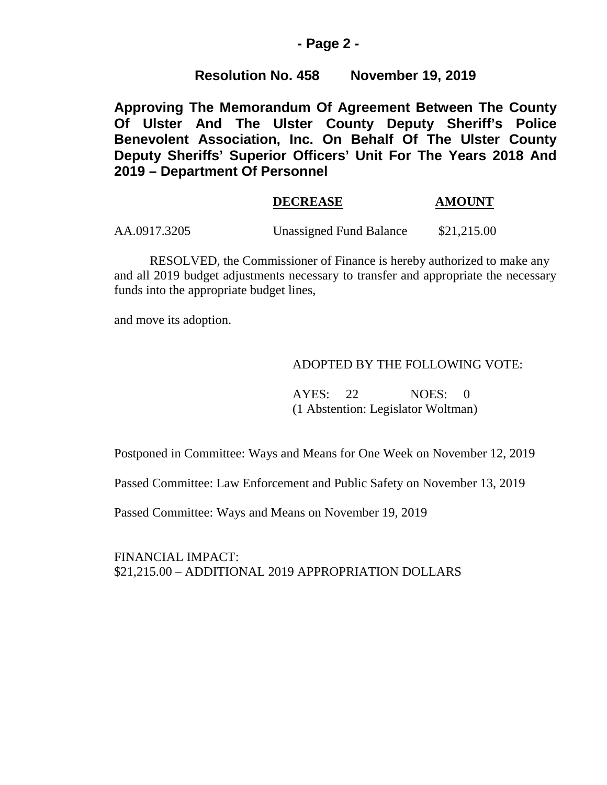### **- Page 2 -**

# **Resolution No. 458 November 19, 2019**

**Approving The Memorandum Of Agreement Between The County Of Ulster And The Ulster County Deputy Sheriff's Police Benevolent Association, Inc. On Behalf Of The Ulster County Deputy Sheriffs' Superior Officers' Unit For The Years 2018 And 2019 – Department Of Personnel**

# **DECREASE AMOUNT**

AA.0917.3205 Unassigned Fund Balance \$21,215.00

RESOLVED, the Commissioner of Finance is hereby authorized to make any and all 2019 budget adjustments necessary to transfer and appropriate the necessary funds into the appropriate budget lines,

and move its adoption.

#### ADOPTED BY THE FOLLOWING VOTE:

AYES: 22 NOES: 0 (1 Abstention: Legislator Woltman)

Postponed in Committee: Ways and Means for One Week on November 12, 2019

Passed Committee: Law Enforcement and Public Safety on November 13, 2019

Passed Committee: Ways and Means on November 19, 2019

FINANCIAL IMPACT: \$21,215.00 – ADDITIONAL 2019 APPROPRIATION DOLLARS